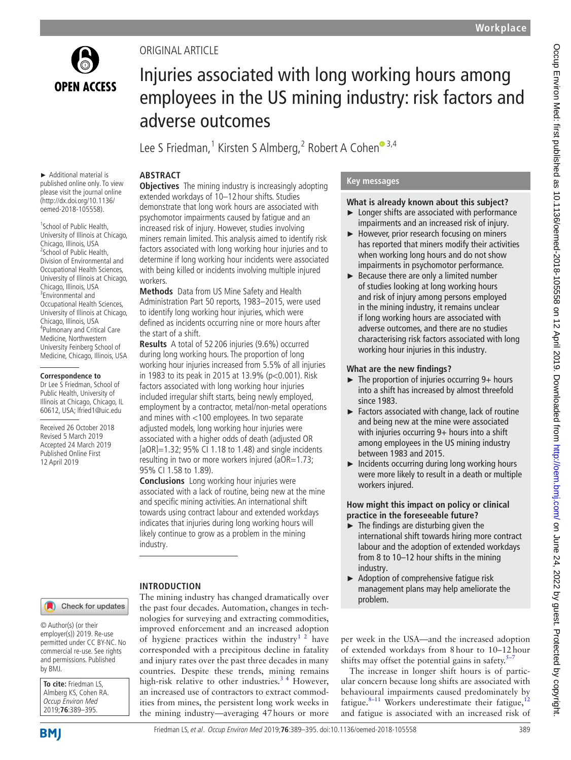

## Original Article

# Injuries associated with long working hours among employees in the US mining industry: risk factors and adverse outcomes

Lee S Friedman,<sup>1</sup> Kirsten S Almberg,<sup>2</sup> Robert A Cohen®<sup>3,4</sup>

# **Abstract**

► Additional material is published online only. To view please visit the journal online (http://dx.doi.org/10.1136/ oemed-2018-105558).

1 School of Public Health, University of Illinois at Chicago,<br>Chicago, Illinois, USA Chicago, Illinois, USA<br><sup>2</sup>School of Public Health, Division of Environmental and Occupational Health Sciences, University of Illinois at Chicago, Chicago, Illinois, USA <sup>3</sup>Environmental and Occupational Health Sciences, University of Illinois at Chicago, Chicago, Illinois, USA Pulmonary and Critical Care Medicine, Northwestern University Feinberg School of Medicine, Chicago, Illinois, USA

#### **Correspondence to**

Dr Lee S Friedman, School of Public Health, University of Illinois at Chicago, Chicago, IL 60612, USA; lfried1@uic.edu

Received 26 October 2018 Revised 5 March 2019 Accepted 24 March 2019 Published Online First 12 April 2019

#### **Objectives** The mining industry is increasingly adopting extended workdays of 10–12 hour shifts. Studies demonstrate that long work hours are associated with psychomotor impairments caused by fatigue and an increased risk of injury. However, studies involving miners remain limited. This analysis aimed to identify risk factors associated with long working hour injuries and to determine if long working hour incidents were associated with being killed or incidents involving multiple injured workers.

**Methods** Data from US Mine Safety and Health Administration Part 50 reports, 1983–2015, were used to identify long working hour injuries, which were defined as incidents occurring nine or more hours after the start of a shift.

**Results** A total of 52 206 injuries (9.6%) occurred during long working hours. The proportion of long working hour injuries increased from 5.5% of all injuries in 1983 to its peak in 2015 at 13.9% (p<0.001). Risk factors associated with long working hour injuries included irregular shift starts, being newly employed, employment by a contractor, metal/non-metal operations and mines with <100 employees. In two separate adjusted models, long working hour injuries were associated with a higher odds of death (adjusted OR [aOR]=1.32; 95% CI 1.18 to 1.48) and single incidents resulting in two or more workers injured (aOR=1.73; 95% CI 1.58 to 1.89).

**Conclusions** Long working hour injuries were associated with a lack of routine, being new at the mine and specific mining activities. An international shift towards using contract labour and extended workdays indicates that injuries during long working hours will likely continue to grow as a problem in the mining industry.

The mining industry has changed dramatically over the past four decades. Automation, changes in technologies for surveying and extracting commodities, improved enforcement and an increased adoption of hygiene practices within the industry<sup>[1 2](#page-5-0)</sup> have corresponded with a precipitous decline in fatality and injury rates over the past three decades in many countries. Despite these trends, mining remains high-risk relative to other industries.<sup>34</sup> However, an increased use of contractors to extract commodities from mines, the persistent long work weeks in the mining industry—averaging 47hours or more

### **Introduction**

Check for updates

© Author(s) (or their employer(s)) 2019. Re-use permitted under CC BY-NC. No commercial re-use. See rights and permissions. Published by BMJ.

| To cite: Friedman LS. |  |  |  |  |
|-----------------------|--|--|--|--|
| Almberg KS, Cohen RA. |  |  |  |  |
| Occup Environ Med     |  |  |  |  |
| 2019;76:389-395.      |  |  |  |  |

## **Key messages**

#### **What is already known about this subject?**

- Longer shifts are associated with performance impairments and an increased risk of injury.
- ► However, prior research focusing on miners has reported that miners modify their activities when working long hours and do not show impairments in psychomotor performance.
- $\blacktriangleright$  Because there are only a limited number of studies looking at long working hours and risk of injury among persons employed in the mining industry, it remains unclear if long working hours are associated with adverse outcomes, and there are no studies characterising risk factors associated with long working hour injuries in this industry.

## **What are the new findings?**

- ► The proportion of injuries occurring 9+ hours into a shift has increased by almost threefold since 1983.
- ► Factors associated with change, lack of routine and being new at the mine were associated with injuries occurring 9+ hours into a shift among employees in the US mining industry between 1983 and 2015.
- ► Incidents occurring during long working hours were more likely to result in a death or multiple workers injured.

#### **How might this impact on policy or clinical practice in the foreseeable future?**

- $\blacktriangleright$  The findings are disturbing given the international shift towards hiring more contract labour and the adoption of extended workdays from 8 to 10–12 hour shifts in the mining industry.
- ► Adoption of comprehensive fatigue risk management plans may help ameliorate the problem.

per week in the USA—and the increased adoption of extended workdays from 8hour to 10–12hour shifts may offset the potential gains in safety. $5-7$ 

The increase in longer shift hours is of particular concern because long shifts are associated with behavioural impairments caused predominately by fatigue. $8-11$  Workers underestimate their fatigue,  $12$ and fatigue is associated with an increased risk of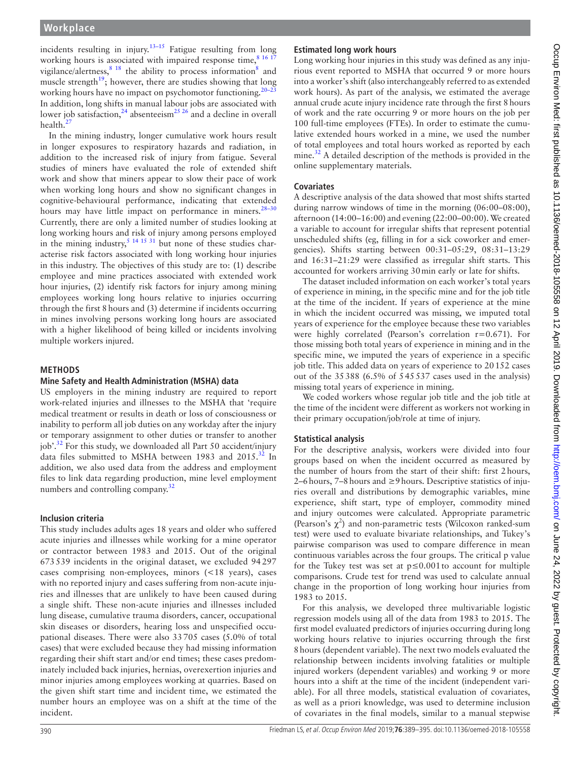incidents resulting in injury.<sup>[13–15](#page-6-4)</sup> Fatigue resulting from long working hours is associated with impaired response time,  $8^{16}$  17 vigilance/alertness,  $8\frac{18}{18}$  $8\frac{18}{18}$  the ability to process information<sup>8</sup> and muscle strength<sup>[19](#page-6-5)</sup>; however, there are studies showing that long working hours have no impact on psychomotor functioning.<sup>20–23</sup> In addition, long shifts in manual labour jobs are associated with lower job satisfaction,<sup>[24](#page-6-7)</sup> absenteeism<sup>25 26</sup> and a decline in overall health.<sup>27</sup>

In the mining industry, longer cumulative work hours result in longer exposures to respiratory hazards and radiation, in addition to the increased risk of injury from fatigue. Several studies of miners have evaluated the role of extended shift work and show that miners appear to slow their pace of work when working long hours and show no significant changes in cognitive-behavioural performance, indicating that extended hours may have little impact on performance in miners.<sup>28-30</sup> Currently, there are only a limited number of studies looking at long working hours and risk of injury among persons employed in the mining industry,<sup>5</sup> <sup>14 15 31</sup> but none of these studies characterise risk factors associated with long working hour injuries in this industry. The objectives of this study are to: (1) describe employee and mine practices associated with extended work hour injuries, (2) identify risk factors for injury among mining employees working long hours relative to injuries occurring through the first 8hours and (3) determine if incidents occurring in mines involving persons working long hours are associated with a higher likelihood of being killed or incidents involving multiple workers injured.

#### **Methods**

#### **Mine Safety and Health Administration (MSHA) data**

US employers in the mining industry are required to report work-related injuries and illnesses to the MSHA that 'require medical treatment or results in death or loss of consciousness or inability to perform all job duties on any workday after the injury or temporary assignment to other duties or transfer to another job'.<sup>32</sup> For this study, we downloaded all Part 50 accident/injury data files submitted to MSHA between 1983 and 2015.<sup>[32](#page-6-11)</sup> In addition, we also used data from the address and employment files to link data regarding production, mine level employment numbers and controlling company.<sup>[32](#page-6-11)</sup>

#### **Inclusion criteria**

This study includes adults ages 18 years and older who suffered acute injuries and illnesses while working for a mine operator or contractor between 1983 and 2015. Out of the original 673539 incidents in the original dataset, we excluded 94297 cases comprising non-employees, minors (<18 years), cases with no reported injury and cases suffering from non-acute injuries and illnesses that are unlikely to have been caused during a single shift. These non-acute injuries and illnesses included lung disease, cumulative trauma disorders, cancer, occupational skin diseases or disorders, hearing loss and unspecified occupational diseases. There were also 33705 cases (5.0% of total cases) that were excluded because they had missing information regarding their shift start and/or end times; these cases predominately included back injuries, hernias, overexertion injuries and minor injuries among employees working at quarries. Based on the given shift start time and incident time, we estimated the number hours an employee was on a shift at the time of the incident.

#### **Estimated long work hours**

Long working hour injuries in this study was defined as any injurious event reported to MSHA that occurred 9 or more hours into a worker's shift (also interchangeably referred to as extended work hours). As part of the analysis, we estimated the average annual crude acute injury incidence rate through the first 8hours of work and the rate occurring 9 or more hours on the job per 100 full-time employees (FTEs). In order to estimate the cumulative extended hours worked in a mine, we used the number of total employees and total hours worked as reported by each mine.<sup>32</sup> A detailed description of the methods is provided in the online [supplementary materials](https://dx.doi.org/10.1136/oemed-2018-105558).

#### **Covariates**

A descriptive analysis of the data showed that most shifts started during narrow windows of time in the morning (06:00–08:00), afternoon (14:00–16:00) and evening (22:00–00:00). We created a variable to account for irregular shifts that represent potential unscheduled shifts (eg, filling in for a sick coworker and emergencies). Shifts starting between 00:31–05:29, 08:31–13:29 and 16:31–21:29 were classified as irregular shift starts. This accounted for workers arriving 30min early or late for shifts.

The dataset included information on each worker's total years of experience in mining, in the specific mine and for the job title at the time of the incident. If years of experience at the mine in which the incident occurred was missing, we imputed total years of experience for the employee because these two variables were highly correlated (Pearson's correlation r=0.671). For those missing both total years of experience in mining and in the specific mine, we imputed the years of experience in a specific job title. This added data on years of experience to 20152 cases out of the 35388 (6.5% of 545537 cases used in the analysis) missing total years of experience in mining.

We coded workers whose regular job title and the job title at the time of the incident were different as workers not working in their primary occupation/job/role at time of injury.

#### **Statistical analysis**

For the descriptive analysis, workers were divided into four groups based on when the incident occurred as measured by the number of hours from the start of their shift: first 2hours, 2–6 hours, 7–8 hours and  $\geq$ 9 hours. Descriptive statistics of injuries overall and distributions by demographic variables, mine experience, shift start, type of employer, commodity mined and injury outcomes were calculated. Appropriate parametric (Pearson's  $\chi^2$ ) and non-parametric tests (Wilcoxon ranked-sum test) were used to evaluate bivariate relationships, and Tukey's pairwise comparison was used to compare difference in mean continuous variables across the four groups. The critical p value for the Tukey test was set at p≤0.001 to account for multiple comparisons. Crude test for trend was used to calculate annual change in the proportion of long working hour injuries from 1983 to 2015.

For this analysis, we developed three multivariable logistic regression models using all of the data from 1983 to 2015. The first model evaluated predictors of injuries occurring during long working hours relative to injuries occurring through the first 8hours (dependent variable). The next two models evaluated the relationship between incidents involving fatalities or multiple injured workers (dependent variables) and working 9 or more hours into a shift at the time of the incident (independent variable). For all three models, statistical evaluation of covariates, as well as a priori knowledge, was used to determine inclusion of covariates in the final models, similar to a manual stepwise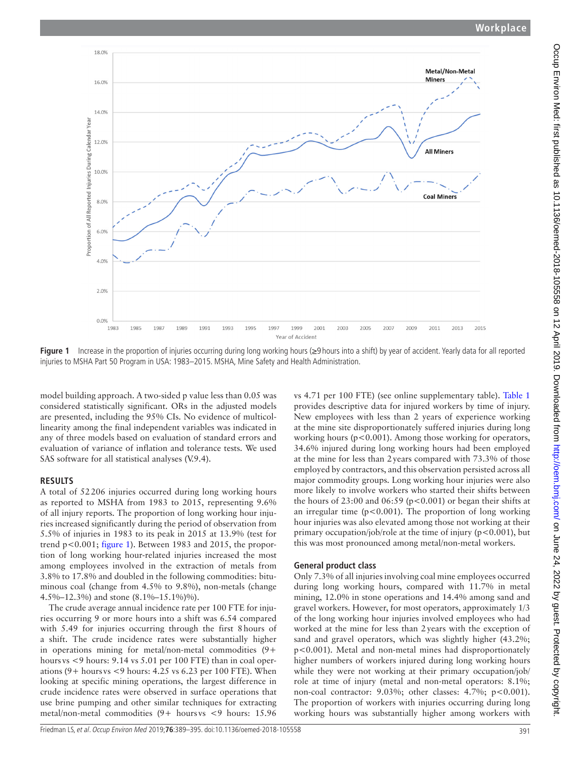

<span id="page-2-0"></span>**Figure 1** Increase in the proportion of injuries occurring during long working hours (≥9 hours into a shift) by year of accident. Yearly data for all reported injuries to MSHA Part 50 Program in USA: 1983–2015. MSHA, Mine Safety and Health Administration.

model building approach. A two-sided p value less than 0.05 was considered statistically significant. ORs in the adjusted models are presented, including the 95% CIs. No evidence of multicollinearity among the final independent variables was indicated in any of three models based on evaluation of standard errors and evaluation of variance of inflation and tolerance tests. We used SAS software for all statistical analyses (V.9.4).

### **Results**

A total of 52206 injuries occurred during long working hours as reported to MSHA from 1983 to 2015, representing 9.6% of all injury reports. The proportion of long working hour injuries increased significantly during the period of observation from 5.5% of injuries in 1983 to its peak in 2015 at 13.9% (test for trend p<0.001; [figure](#page-2-0) 1). Between 1983 and 2015, the proportion of long working hour-related injuries increased the most among employees involved in the extraction of metals from 3.8% to 17.8% and doubled in the following commodities: bituminous coal (change from 4.5% to 9.8%), non-metals (change 4.5%–12.3%) and stone (8.1%–15.1%)%).

The crude average annual incidence rate per 100 FTE for injuries occurring 9 or more hours into a shift was 6.54 compared with 5.49 for injuries occurring through the first 8hours of a shift. The crude incidence rates were substantially higher in operations mining for metal/non-metal commodities (9+ hours vs <9 hours: 9.14 vs 5.01 per 100 FTE) than in coal operations  $(9 + \text{hours vs } < 9 \text{ hours: } 4.25 \text{ vs } 6.23 \text{ per } 100 \text{ FTE}$ ). When looking at specific mining operations, the largest difference in crude incidence rates were observed in surface operations that use brine pumping and other similar techniques for extracting metal/non-metal commodities  $(9+$  hours vs <9 hours: 15.96

vs 4.71 per 100 FTE) (see online [supplementary table\)](https://dx.doi.org/10.1136/oemed-2018-105558). [Table](#page-3-0) 1 provides descriptive data for injured workers by time of injury. New employees with less than 2 years of experience working at the mine site disproportionately suffered injuries during long working hours ( $p < 0.001$ ). Among those working for operators, 34.6% injured during long working hours had been employed at the mine for less than 2years compared with 73.3% of those employed by contractors, and this observation persisted across all major commodity groups. Long working hour injuries were also more likely to involve workers who started their shifts between the hours of  $23:00$  and  $06:59$  ( $p<0.001$ ) or began their shifts at an irregular time ( $p < 0.001$ ). The proportion of long working hour injuries was also elevated among those not working at their primary occupation/job/role at the time of injury ( $p < 0.001$ ), but this was most pronounced among metal/non-metal workers.

### **General product class**

Only 7.3% of all injuries involving coal mine employees occurred during long working hours, compared with 11.7% in metal mining, 12.0% in stone operations and 14.4% among sand and gravel workers. However, for most operators, approximately 1/3 of the long working hour injuries involved employees who had worked at the mine for less than 2years with the exception of sand and gravel operators, which was slightly higher (43.2%; p<0.001). Metal and non-metal mines had disproportionately higher numbers of workers injured during long working hours while they were not working at their primary occupation/job/ role at time of injury (metal and non-metal operators: 8.1%; non-coal contractor: 9.03%; other classes: 4.7%; p<0.001). The proportion of workers with injuries occurring during long working hours was substantially higher among workers with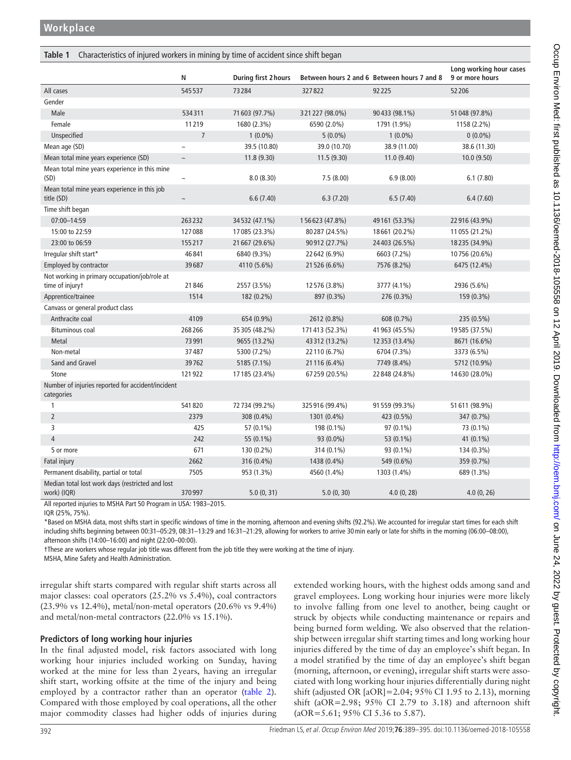#### <span id="page-3-0"></span>**Table 1** Characteristics of injured workers in mining by time of accident since shift began

|                                                                  | N                  | <b>During first 2 hours</b> |                | Between hours 2 and 6 Between hours 7 and 8 | Long working hour cases<br>9 or more hours |
|------------------------------------------------------------------|--------------------|-----------------------------|----------------|---------------------------------------------|--------------------------------------------|
| All cases                                                        | 545537             | 73284                       | 327822         | 92225                                       | 52206                                      |
| Gender                                                           |                    |                             |                |                                             |                                            |
| Male                                                             | 534311             | 71 603 (97.7%)              | 321227 (98.0%) | 90433 (98.1%)                               | 51 048 (97.8%)                             |
| Female                                                           | 11219              | 1680 (2.3%)                 | 6590 (2.0%)    | 1791 (1.9%)                                 | 1158 (2.2%)                                |
| Unspecified                                                      | $\overline{7}$     | $1(0.0\%)$                  | $5(0.0\%)$     | $1(0.0\%)$                                  | $0(0.0\%)$                                 |
| Mean age (SD)                                                    |                    | 39.5 (10.80)                | 39.0 (10.70)   | 38.9 (11.00)                                | 38.6 (11.30)                               |
| Mean total mine years experience (SD)                            | $\sim$             | 11.8(9.30)                  | 11.5(9.30)     | 11.0(9.40)                                  | 10.0(9.50)                                 |
| Mean total mine years experience in this mine<br>(SD)            | $\sim$             | 8.0(8.30)                   | 7.5(8.00)      | 6.9(8.00)                                   | 6.1(7.80)                                  |
| Mean total mine years experience in this job<br>title (SD)       | $\thicksim$        | 6.6(7.40)                   | 6.3(7.20)      | 6.5(7.40)                                   | 6.4(7.60)                                  |
| Time shift began                                                 |                    |                             |                |                                             |                                            |
| 07:00-14:59                                                      | 263232             | 34532 (47.1%)               | 156623 (47.8%) | 49 161 (53.3%)                              | 22916 (43.9%)                              |
| 15:00 to 22:59                                                   | 127088             | 17085 (23.3%)               | 80287 (24.5%)  | 18661 (20.2%)                               | 11 055 (21.2%)                             |
| 23:00 to 06:59                                                   | 155217             | 21 667 (29.6%)              | 90912 (27.7%)  | 24403 (26.5%)                               | 18235 (34.9%)                              |
| Irregular shift start*                                           | 46841              | 6840 (9.3%)                 | 22 642 (6.9%)  | 6603 (7.2%)                                 | 10756 (20.6%)                              |
| Employed by contractor                                           | 39687              | 4110 (5.6%)                 | 21526 (6.6%)   | 7576 (8.2%)                                 | 6475 (12.4%)                               |
| Not working in primary occupation/job/role at<br>time of injuryt | 21846              | 2557 (3.5%)                 | 12576 (3.8%)   | 3777 (4.1%)                                 | 2936 (5.6%)                                |
| Apprentice/trainee                                               | 1514               | 182 (0.2%)                  | 897 (0.3%)     | 276 (0.3%)                                  | 159 (0.3%)                                 |
| Canvass or general product class                                 |                    |                             |                |                                             |                                            |
| Anthracite coal                                                  | 4109               | 654 (0.9%)                  | 2612 (0.8%)    | 608 (0.7%)                                  | 235 (0.5%)                                 |
| <b>Bituminous coal</b>                                           | 268266             | 35305 (48.2%)               | 171413 (52.3%) | 41 963 (45.5%)                              | 19585 (37.5%)                              |
| Metal                                                            | 73991              | 9655 (13.2%)                | 43312 (13.2%)  | 12 353 (13.4%)                              | 8671 (16.6%)                               |
| Non-metal                                                        | 37487              | 5300 (7.2%)                 | 22 110 (6.7%)  | 6704 (7.3%)                                 | 3373 (6.5%)                                |
| Sand and Gravel                                                  | 39762              | 5185 (7.1%)                 | 21 116 (6.4%)  | 7749 (8.4%)                                 | 5712 (10.9%)                               |
| Stone                                                            | 121922             | 17185 (23.4%)               | 67259 (20.5%)  | 22 848 (24.8%)                              | 14630 (28.0%)                              |
| Number of injuries reported for accident/incident<br>categories  |                    |                             |                |                                             |                                            |
| $\mathbf{1}$                                                     | 541820             | 72734 (99.2%)               | 325916 (99.4%) | 91 559 (99.3%)                              | 51 611 (98.9%)                             |
| $\overline{2}$                                                   | 2379               | 308 (0.4%)                  | 1301 (0.4%)    | 423 (0.5%)                                  | 347 (0.7%)                                 |
| 3                                                                | 425                | 57 (0.1%)                   | 198 (0.1%)     | 97 (0.1%)                                   | 73 (0.1%)                                  |
| $\overline{4}$                                                   | 242                | 55 (0.1%)                   | 93 (0.0%)      | 53 (0.1%)                                   | 41 (0.1%)                                  |
| 5 or more                                                        | 671                | 130 (0.2%)                  | 314 (0.1%)     | 93 (0.1%)                                   | 134 (0.3%)                                 |
| Fatal injury                                                     | 2662               | 316 (0.4%)                  | 1438 (0.4%)    | 549 (0.6%)                                  | 359 (0.7%)                                 |
| Permanent disability, partial or total                           | 7505               | 953 (1.3%)                  | 4560 (1.4%)    | 1303 (1.4%)                                 | 689 (1.3%)                                 |
| Median total lost work days (restricted and lost<br>work) (IQR)  | 370997<br>$\cdots$ | 5.0(0, 31)                  | 5.0(0, 30)     | 4.0(0, 28)                                  | 4.0(0, 26)                                 |

All reported injuries to MSHA Part 50 Program in USA: 1983–2015.

IQR (25%, 75%).

\*Based on MSHA data, most shifts start in specific windows of time in the morning, afternoon and evening shifts (92.2%). We accounted for irregular start times for each shift including shifts beginning between 00:31–05:29, 08:31–13:29 and 16:31–21:29, allowing for workers to arrive 30min early or late for shifts in the morning (06:00–08:00), afternoon shifts (14:00–16:00) and night (22:00–00:00).

†These are workers whose regular job title was different from the job title they were working at the time of injury.

MSHA, Mine Safety and Health Administration.

irregular shift starts compared with regular shift starts across all major classes: coal operators (25.2% vs 5.4%), coal contractors (23.9% vs 12.4%), metal/non-metal operators (20.6% vs 9.4%) and metal/non-metal contractors (22.0% vs 15.1%).

### **Predictors of long working hour injuries**

In the final adjusted model, risk factors associated with long working hour injuries included working on Sunday, having worked at the mine for less than 2years, having an irregular shift start, working offsite at the time of the injury and being employed by a contractor rather than an operator [\(table](#page-4-0) 2). Compared with those employed by coal operations, all the other major commodity classes had higher odds of injuries during extended working hours, with the highest odds among sand and gravel employees. Long working hour injuries were more likely to involve falling from one level to another, being caught or struck by objects while conducting maintenance or repairs and being burned form welding. We also observed that the relationship between irregular shift starting times and long working hour injuries differed by the time of day an employee's shift began. In a model stratified by the time of day an employee's shift began (morning, afternoon, or evening), irregular shift starts were associated with long working hour injuries differentially during night shift (adjusted OR [aOR]=2.04; 95% CI 1.95 to 2.13), morning shift (aOR=2.98; 95% CI 2.79 to 3.18) and afternoon shift (aOR=5.61; 95% CI 5.36 to 5.87).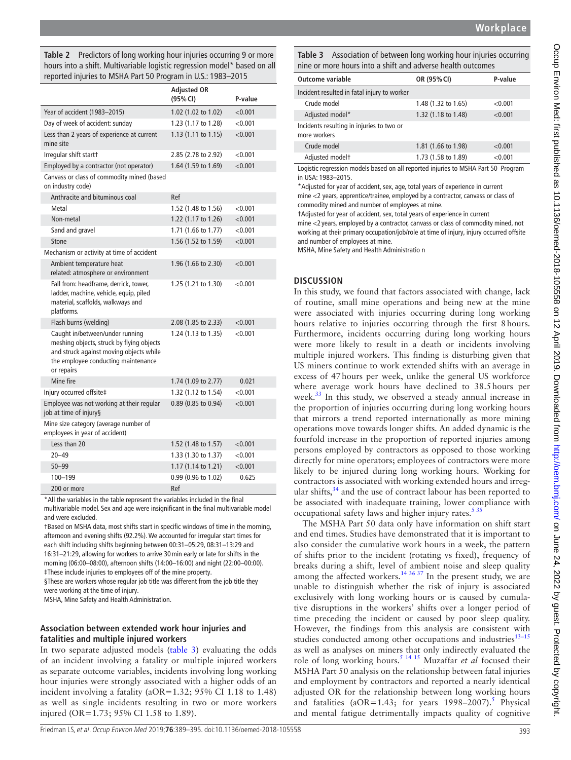<span id="page-4-0"></span>**Table 2** Predictors of long working hour injuries occurring 9 or more hours into a shift. Multivariable logistic regression model\* based on all reported injuries to MSHA Part 50 Program in U.S.: 1983–2015

|                                                                 |                                                                                                                                                                              | Adjusted OR<br>(95% CI) | P-value |
|-----------------------------------------------------------------|------------------------------------------------------------------------------------------------------------------------------------------------------------------------------|-------------------------|---------|
|                                                                 | Year of accident (1983-2015)                                                                                                                                                 | 1.02 (1.02 to 1.02)     | < 0.001 |
|                                                                 | Day of week of accident: sunday                                                                                                                                              | 1.23 (1.17 to 1.28)     | < 0.001 |
| Less than 2 years of experience at current<br>mine site         |                                                                                                                                                                              | 1.13 (1.11 to 1.15)     | < 0.001 |
|                                                                 | Irregular shift startt                                                                                                                                                       | 2.85 (2.78 to 2.92)     | < 0.001 |
|                                                                 | Employed by a contractor (not operator)                                                                                                                                      | 1.64 (1.59 to 1.69)     | < 0.001 |
| Canvass or class of commodity mined (based<br>on industry code) |                                                                                                                                                                              |                         |         |
|                                                                 | Anthracite and bituminous coal                                                                                                                                               | Ref                     |         |
|                                                                 | Metal                                                                                                                                                                        | 1.52 (1.48 to 1.56)     | < 0.001 |
|                                                                 | Non-metal                                                                                                                                                                    | 1.22 (1.17 to 1.26)     | < 0.001 |
|                                                                 | Sand and gravel                                                                                                                                                              | 1.71 (1.66 to 1.77)     | < 0.001 |
|                                                                 | Stone                                                                                                                                                                        | 1.56 (1.52 to 1.59)     | < 0.001 |
|                                                                 | Mechanism or activity at time of accident                                                                                                                                    |                         |         |
|                                                                 | Ambient temperature heat<br>related: atmosphere or environment                                                                                                               | 1.96 (1.66 to 2.30)     | < 0.001 |
|                                                                 | Fall from: headframe, derrick, tower,<br>ladder, machine, vehicle, equip, piled<br>material, scaffolds, walkways and<br>platforms.                                           | 1.25 $(1.21$ to 1.30)   | < 0.001 |
|                                                                 | Flash burns (welding)                                                                                                                                                        | 2.08 (1.85 to 2.33)     | < 0.001 |
|                                                                 | Caught in/between/under running<br>meshing objects, struck by flying objects<br>and struck against moving objects while<br>the employee conducting maintenance<br>or repairs | 1.24 (1.13 to 1.35)     | < 0.001 |
|                                                                 | Mine fire                                                                                                                                                                    | 1.74 (1.09 to 2.77)     | 0.021   |
|                                                                 | Injury occurred offsite‡                                                                                                                                                     | 1.32 (1.12 to 1.54)     | < 0.001 |
|                                                                 | Employee was not working at their regular<br>job at time of injury§                                                                                                          | 0.89 (0.85 to 0.94)     | < 0.001 |
|                                                                 | Mine size category (average number of<br>employees in year of accident)                                                                                                      |                         |         |
|                                                                 | Less than 20                                                                                                                                                                 | 1.52 (1.48 to 1.57)     | < 0.001 |
|                                                                 | $20 - 49$                                                                                                                                                                    | 1.33 (1.30 to 1.37)     | < 0.001 |
|                                                                 | $50 - 99$                                                                                                                                                                    | 1.17 (1.14 to 1.21)     | < 0.001 |
|                                                                 | 100-199                                                                                                                                                                      | 0.99 (0.96 to 1.02)     | 0.625   |
|                                                                 | 200 or more                                                                                                                                                                  | Ref                     |         |

\*All the variables in the table represent the variables included in the final

multivariable model. Sex and age were insignificant in the final multivariable model and were excluded.

†Based on MSHA data, most shifts start in specific windows of time in the morning, afternoon and evening shifts (92.2%). We accounted for irregular start times for each shift including shifts beginning between 00:31–05:29, 08:31–13:29 and 16:31–21:29, allowing for workers to arrive 30min early or late for shifts in the morning (06:00–08:00), afternoon shifts (14:00–16:00) and night (22:00–00:00). ‡These include injuries to employees off of the mine property.

§These are workers whose regular job title was different from the job title they were working at the time of injury.

MSHA, Mine Safety and Health Administration.

#### **Association between extended work hour injuries and fatalities and multiple injured workers**

In two separate adjusted models [\(table](#page-4-1) 3) evaluating the odds of an incident involving a fatality or multiple injured workers as separate outcome variables, incidents involving long working hour injuries were strongly associated with a higher odds of an incident involving a fatality (aOR=1.32; 95% CI 1.18 to 1.48) as well as single incidents resulting in two or more workers injured (OR=1.73; 95% CI 1.58 to 1.89).

<span id="page-4-1"></span>**Table 3** Association of between long working hour injuries occurring nine or more hours into a shift and adverse health outcomes

| <b>Outcome variable</b>                                   | OR (95% CI)         | P-value |
|-----------------------------------------------------------|---------------------|---------|
| Incident resulted in fatal injury to worker               |                     |         |
| Crude model                                               | 1.48 (1.32 to 1.65) | < 0.001 |
| Adjusted model*                                           | 1.32 (1.18 to 1.48) | < 0.001 |
| Incidents resulting in injuries to two or<br>more workers |                     |         |
| Crude model                                               | 1.81 (1.66 to 1.98) | < 0.001 |
| Adjusted modelt                                           | 1.73 (1.58 to 1.89) | < 0.001 |

Logistic regression models based on all reported injuries to MSHA Part 50 Program in USA: 1983–2015.

\*Adjusted for year of accident, sex, age, total years of experience in current mine <2 years, apprentice/trainee, employed by a contractor, canvass or class of commodity mined and number of employees at mine.

†Adjusted for year of accident, sex, total years of experience in current

mine <2 years, employed by a contractor, canvass or class of commodity mined, not working at their primary occupation/job/role at time of injury, injury occurred offsite and number of employees at mine.

MSHA, Mine Safety and Health Administratio n

#### **Discussion**

In this study, we found that factors associated with change, lack of routine, small mine operations and being new at the mine were associated with injuries occurring during long working hours relative to injuries occurring through the first 8hours. Furthermore, incidents occurring during long working hours were more likely to result in a death or incidents involving multiple injured workers. This finding is disturbing given that US miners continue to work extended shifts with an average in excess of 47hours per week, unlike the general US workforce where average work hours have declined to 38.5hours per week.<sup>33</sup> In this study, we observed a steady annual increase in the proportion of injuries occurring during long working hours that mirrors a trend reported internationally as more mining operations move towards longer shifts. An added dynamic is the fourfold increase in the proportion of reported injuries among persons employed by contractors as opposed to those working directly for mine operators; employees of contractors were more likely to be injured during long working hours. Working for contractors is associated with working extended hours and irregular shifts, $34$  and the use of contract labour has been reported to be associated with inadequate training, lower compliance with occupational safety laws and higher injury rates. $535$ 

The MSHA Part 50 data only have information on shift start and end times. Studies have demonstrated that it is important to also consider the cumulative work hours in a week, the pattern of shifts prior to the incident (rotating vs fixed), frequency of breaks during a shift, level of ambient noise and sleep quality among the affected workers.<sup>14 36 37</sup> In the present study, we are unable to distinguish whether the risk of injury is associated exclusively with long working hours or is caused by cumulative disruptions in the workers' shifts over a longer period of time preceding the incident or caused by poor sleep quality. However, the findings from this analysis are consistent with studies conducted among other occupations and industries $13-15$ as well as analyses on miners that only indirectly evaluated the role of long working hours[.5 14 15](#page-6-1) Muzaffar *et al* focused their MSHA Part 50 analysis on the relationship between fatal injuries and employment by contractors and reported a nearly identical adjusted OR for the relationship between long working hours and fatalities (aOR=1.43; for years  $1998-2007$ ).<sup>5</sup> Physical and mental fatigue detrimentally impacts quality of cognitive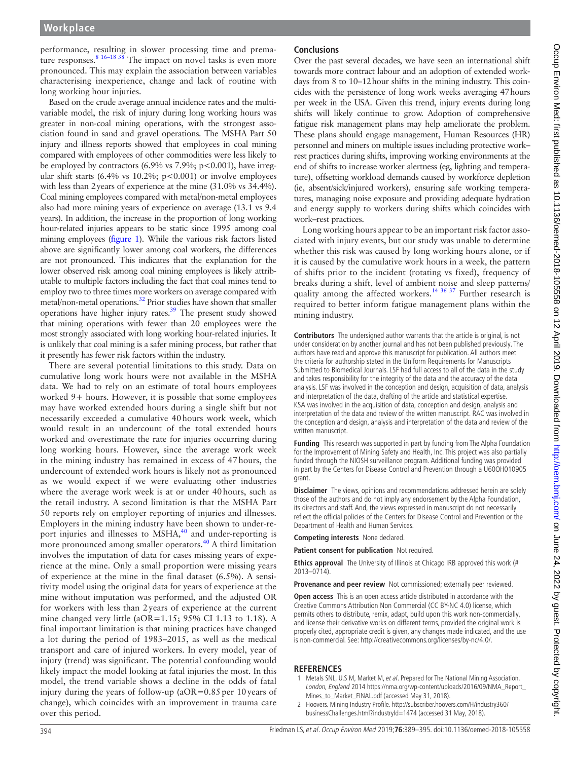performance, resulting in slower processing time and prema-ture responses.<sup>[8 16–18 38](#page-6-2)</sup> The impact on novel tasks is even more pronounced. This may explain the association between variables characterising inexperience, change and lack of routine with long working hour injuries.

Based on the crude average annual incidence rates and the multivariable model, the risk of injury during long working hours was greater in non-coal mining operations, with the strongest association found in sand and gravel operations. The MSHA Part 50 injury and illness reports showed that employees in coal mining compared with employees of other commodities were less likely to be employed by contractors (6.9% vs 7.9%; p<0.001), have irregular shift starts (6.4% vs 10.2%;  $p < 0.001$ ) or involve employees with less than 2years of experience at the mine (31.0% vs 34.4%). Coal mining employees compared with metal/non-metal employees also had more mining years of experience on average (13.1 vs 9.4 years). In addition, the increase in the proportion of long working hour-related injuries appears to be static since 1995 among coal mining employees ([figure](#page-2-0) 1). While the various risk factors listed above are significantly lower among coal workers, the differences are not pronounced. This indicates that the explanation for the lower observed risk among coal mining employees is likely attributable to multiple factors including the fact that coal mines tend to employ two to three times more workers on average compared with metal/non-metal operations[.32](#page-6-11) Prior studies have shown that smaller operations have higher injury rates[.39](#page-6-15) The present study showed that mining operations with fewer than 20 employees were the most strongly associated with long working hour-related injuries. It is unlikely that coal mining is a safer mining process, but rather that it presently has fewer risk factors within the industry.

There are several potential limitations to this study. Data on cumulative long work hours were not available in the MSHA data. We had to rely on an estimate of total hours employees worked 9+ hours. However, it is possible that some employees may have worked extended hours during a single shift but not necessarily exceeded a cumulative 40hours work week, which would result in an undercount of the total extended hours worked and overestimate the rate for injuries occurring during long working hours. However, since the average work week in the mining industry has remained in excess of 47hours, the undercount of extended work hours is likely not as pronounced as we would expect if we were evaluating other industries where the average work week is at or under 40hours, such as the retail industry. A second limitation is that the MSHA Part 50 reports rely on employer reporting of injuries and illnesses. Employers in the mining industry have been shown to under-re-port injuries and illnesses to MSHA,<sup>[40](#page-6-16)</sup> and under-reporting is more pronounced among smaller operators.<sup>[40](#page-6-16)</sup> A third limitation involves the imputation of data for cases missing years of experience at the mine. Only a small proportion were missing years of experience at the mine in the final dataset (6.5%). A sensitivity model using the original data for years of experience at the mine without imputation was performed, and the adjusted OR for workers with less than 2years of experience at the current mine changed very little (aOR=1.15; 95% CI 1.13 to 1.18). A final important limitation is that mining practices have changed a lot during the period of 1983–2015, as well as the medical transport and care of injured workers. In every model, year of injury (trend) was significant. The potential confounding would likely impact the model looking at fatal injuries the most. In this model, the trend variable shows a decline in the odds of fatal injury during the years of follow-up  $(aOR=0.85$  per 10 years of change), which coincides with an improvement in trauma care over this period.

### **Conclusions**

Over the past several decades, we have seen an international shift towards more contract labour and an adoption of extended workdays from 8 to 10–12hour shifts in the mining industry. This coincides with the persistence of long work weeks averaging 47hours per week in the USA. Given this trend, injury events during long shifts will likely continue to grow. Adoption of comprehensive fatigue risk management plans may help ameliorate the problem. These plans should engage management, Human Resources (HR) personnel and miners on multiple issues including protective work– rest practices during shifts, improving working environments at the end of shifts to increase worker alertness (eg, lighting and temperature), offsetting workload demands caused by workforce depletion (ie, absent/sick/injured workers), ensuring safe working temperatures, managing noise exposure and providing adequate hydration and energy supply to workers during shifts which coincides with work–rest practices.

Long working hours appear to be an important risk factor associated with injury events, but our study was unable to determine whether this risk was caused by long working hours alone, or if it is caused by the cumulative work hours in a week, the pattern of shifts prior to the incident (rotating vs fixed), frequency of breaks during a shift, level of ambient noise and sleep patterns/ quality among the affected workers.<sup>[14 36 37](#page-6-14)</sup> Further research is required to better inform fatigue management plans within the mining industry.

**Contributors** The undersigned author warrants that the article is original, is not under consideration by another journal and has not been published previously. The authors have read and approve this manuscript for publication. All authors meet the criteria for authorship stated in the Uniform Requirements for Manuscripts Submitted to Biomedical Journals. LSF had full access to all of the data in the study and takes responsibility for the integrity of the data and the accuracy of the data analysis. LSF was involved in the conception and design, acquisition of data, analysis and interpretation of the data, drafting of the article and statistical expertise. KSA was involved in the acquisition of data, conception and design, analysis and interpretation of the data and review of the written manuscript. RAC was involved in the conception and design, analysis and interpretation of the data and review of the written manuscript.

**Funding** This research was supported in part by funding from The Alpha Foundation for the Improvement of Mining Safety and Health, Inc. This project was also partially funded through the NIOSH surveillance program. Additional funding was provided in part by the Centers for Disease Control and Prevention through a U60OH010905 grant.

**Disclaimer** The views, opinions and recommendations addressed herein are solely those of the authors and do not imply any endorsement by the Alpha Foundation, its directors and staff. And, the views expressed in manuscript do not necessarily reflect the official policies of the Centers for Disease Control and Prevention or the Department of Health and Human Services.

**Competing interests** None declared.

**Patient consent for publication** Not required.

**Ethics approval** The University of Illinois at Chicago IRB approved this work (# 2013–0714).

**Provenance and peer review** Not commissioned; externally peer reviewed.

**Open access** This is an open access article distributed in accordance with the Creative Commons Attribution Non Commercial (CC BY-NC 4.0) license, which permits others to distribute, remix, adapt, build upon this work non-commercially, and license their derivative works on different terms, provided the original work is properly cited, appropriate credit is given, any changes made indicated, and the use is non-commercial. See: [http://creativecommons.org/licenses/by-nc/4.0/.](http://creativecommons.org/licenses/by-nc/4.0/)

#### **References**

- <span id="page-5-0"></span>1 Metals SNL, U.S M, Market M, et al. Prepared for The National Mining Association. London, England 2014 [https://nma.org/wp-content/uploads/2016/09/NMA\\_Report\\_](https://nma.org/wp-content/uploads/2016/09/NMA_Report_Mines_to_Market_FINAL.pdf) [Mines\\_to\\_Market\\_FINAL.pdf](https://nma.org/wp-content/uploads/2016/09/NMA_Report_Mines_to_Market_FINAL.pdf) (accessed May 31, 2018).
- 2 Hoovers. Mining Industry Profile. [http://subscriber.hoovers.com/H/industry360/](http://subscriber.hoovers.com/H/industry360/businessChallenges.html?industryId=1474) [businessChallenges.html?industryId=1474](http://subscriber.hoovers.com/H/industry360/businessChallenges.html?industryId=1474) (accessed 31 May, 2018).